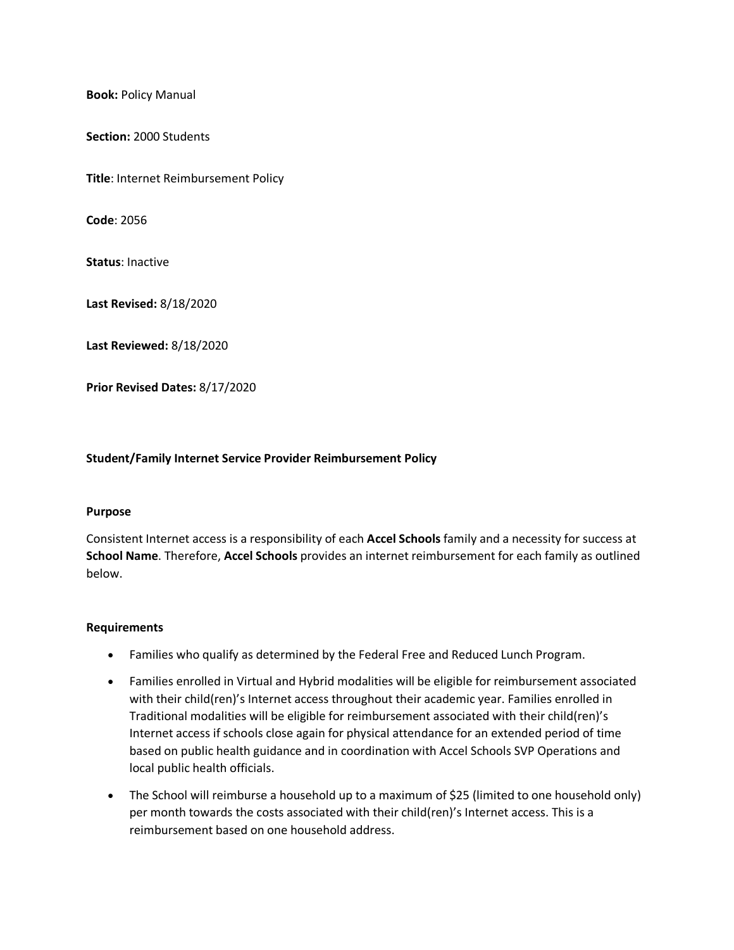**Book:** Policy Manual

**Section:** 2000 Students

**Title**: Internet Reimbursement Policy

**Code**: 2056

**Status**: Inactive

**Last Revised:** 8/18/2020

**Last Reviewed:** 8/18/2020

**Prior Revised Dates:** 8/17/2020

## **Student/Family Internet Service Provider Reimbursement Policy**

## **Purpose**

Consistent Internet access is a responsibility of each **Accel Schools** family and a necessity for success at **School Name**. Therefore, **Accel Schools** provides an internet reimbursement for each family as outlined below.

## **Requirements**

- Families who qualify as determined by the Federal Free and Reduced Lunch Program.
- Families enrolled in Virtual and Hybrid modalities will be eligible for reimbursement associated with their child(ren)'s Internet access throughout their academic year. Families enrolled in Traditional modalities will be eligible for reimbursement associated with their child(ren)'s Internet access if schools close again for physical attendance for an extended period of time based on public health guidance and in coordination with Accel Schools SVP Operations and local public health officials.
- The School will reimburse a household up to a maximum of \$25 (limited to one household only) per month towards the costs associated with their child(ren)'s Internet access. This is a reimbursement based on one household address.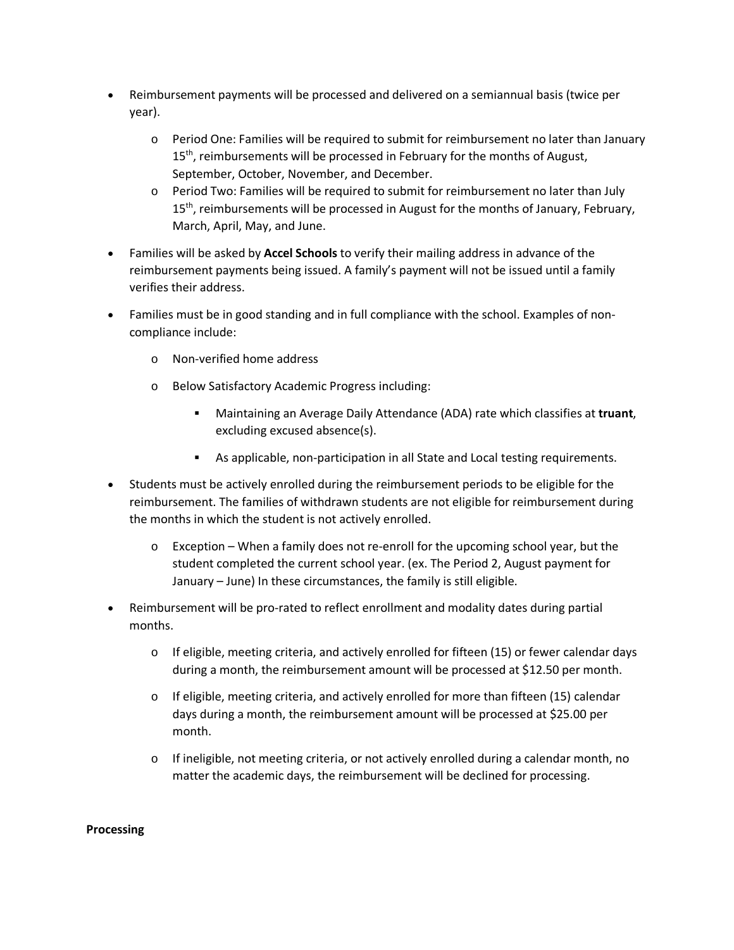- Reimbursement payments will be processed and delivered on a semiannual basis (twice per year).
	- o Period One: Families will be required to submit for reimbursement no later than January 15<sup>th</sup>, reimbursements will be processed in February for the months of August, September, October, November, and December.
	- o Period Two: Families will be required to submit for reimbursement no later than July 15<sup>th</sup>, reimbursements will be processed in August for the months of January, February, March, April, May, and June.
- Families will be asked by **Accel Schools** to verify their mailing address in advance of the reimbursement payments being issued. A family's payment will not be issued until a family verifies their address.
- Families must be in good standing and in full compliance with the school. Examples of noncompliance include:
	- o Non-verified home address
	- o Below Satisfactory Academic Progress including:
		- Maintaining an Average Daily Attendance (ADA) rate which classifies at **truant**, excluding excused absence(s).
		- As applicable, non-participation in all State and Local testing requirements.
- Students must be actively enrolled during the reimbursement periods to be eligible for the reimbursement. The families of withdrawn students are not eligible for reimbursement during the months in which the student is not actively enrolled.
	- $\circ$  Exception When a family does not re-enroll for the upcoming school year, but the student completed the current school year. (ex. The Period 2, August payment for January – June) In these circumstances, the family is still eligible.
- Reimbursement will be pro-rated to reflect enrollment and modality dates during partial months.
	- $\circ$  If eligible, meeting criteria, and actively enrolled for fifteen (15) or fewer calendar days during a month, the reimbursement amount will be processed at \$12.50 per month.
	- $\circ$  If eligible, meeting criteria, and actively enrolled for more than fifteen (15) calendar days during a month, the reimbursement amount will be processed at \$25.00 per month.
	- $\circ$  If ineligible, not meeting criteria, or not actively enrolled during a calendar month, no matter the academic days, the reimbursement will be declined for processing.

## **Processing**